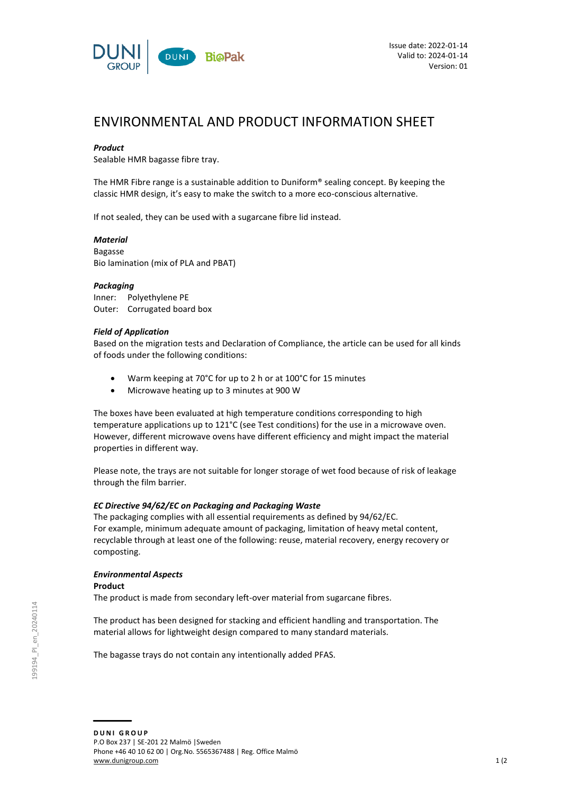

# ENVIRONMENTAL AND PRODUCT INFORMATION SHEET

# *Product*

Sealable HMR bagasse fibre tray.

The HMR Fibre range is a sustainable addition to Duniform® sealing concept. By keeping the classic HMR design, it's easy to make the switch to a more eco-conscious alternative.

If not sealed, they can be used with a sugarcane fibre lid instead.

# *Material*

Bagasse Bio lamination (mix of PLA and PBAT)

#### *Packaging*

Inner: Polyethylene PE Outer: Corrugated board box

# *Field of Application*

Based on the migration tests and Declaration of Compliance, the article can be used for all kinds of foods under the following conditions:

- Warm keeping at 70°C for up to 2 h or at 100°C for 15 minutes
- Microwave heating up to 3 minutes at 900 W

The boxes have been evaluated at high temperature conditions corresponding to high temperature applications up to 121°C (see Test conditions) for the use in a microwave oven. However, different microwave ovens have different efficiency and might impact the material properties in different way.

Please note, the trays are not suitable for longer storage of wet food because of risk of leakage through the film barrier.

# *EC Directive 94/62/EC on Packaging and Packaging Waste*

The packaging complies with all essential requirements as defined by 94/62/EC. For example, minimum adequate amount of packaging, limitation of heavy metal content, recyclable through at least one of the following: reuse, material recovery, energy recovery or composting.

# *Environmental Aspects*

**Product**

The product is made from secondary left-over material from sugarcane fibres.

The product has been designed for stacking and efficient handling and transportation. The material allows for lightweight design compared to many standard materials.

The bagasse trays do not contain any intentionally added PFAS.